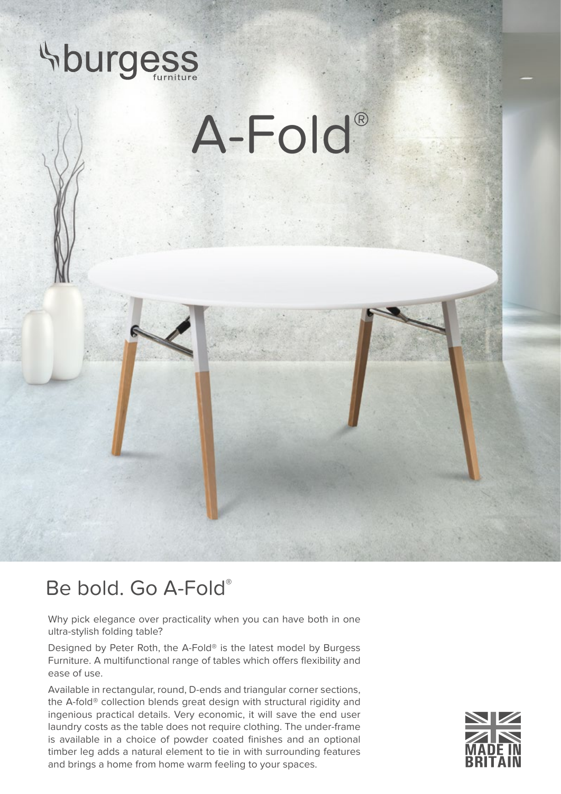

## Be bold. Go A-Fold®

Why pick elegance over practicality when you can have both in one ultra-stylish folding table?

Designed by Peter Roth, the A-Fold® is the latest model by Burgess Furniture. A multifunctional range of tables which offers flexibility and ease of use.

Available in rectangular, round, D-ends and triangular corner sections, the A-fold® collection blends great design with structural rigidity and ingenious practical details. Very economic, it will save the end user laundry costs as the table does not require clothing. The under-frame is available in a choice of powder coated finishes and an optional timber leg adds a natural element to tie in with surrounding features and brings a home from home warm feeling to your spaces.